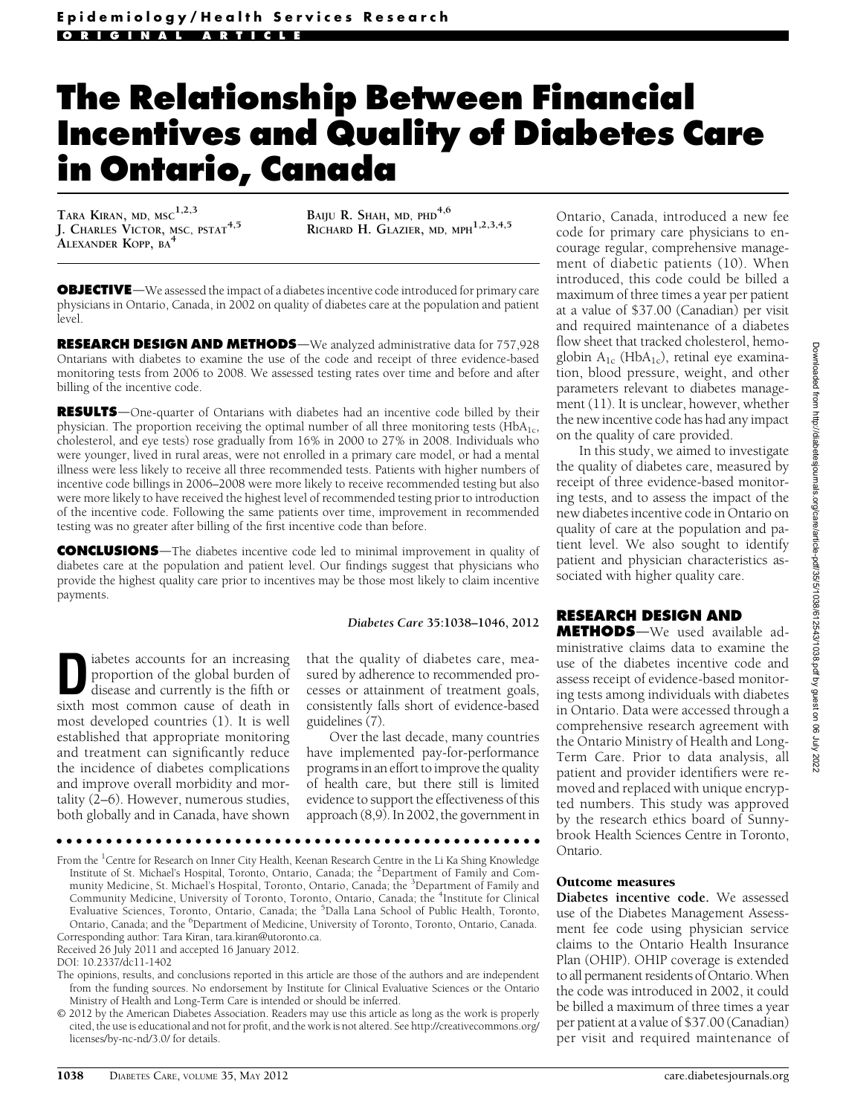# The Relationship Between Financial Incentives and Quality of Diabetes Care in Ontario, Canada

TARA KIRAN, MD, MSC $^{1,2,3}$ J. Charles Victor, MSC, PSTAT<sup>4,5</sup> ALEXANDER KOPP, BA<sup>4</sup>

Baiju R. Shah, md, phd<sup>4,6</sup> RICHARD H. GLAZIER, MD, MPH<sup>1,2,3,4,5</sup>

**OBJECTIVE**—We assessed the impact of a diabetes incentive code introduced for primary care physicians in Ontario, Canada, in 2002 on quality of diabetes care at the population and patient level.

RESEARCH DESIGN AND METHODS-We analyzed administrative data for 757,928 Ontarians with diabetes to examine the use of the code and receipt of three evidence-based monitoring tests from 2006 to 2008. We assessed testing rates over time and before and after billing of the incentive code.

**RESULTS**—One-quarter of Ontarians with diabetes had an incentive code billed by their physician. The proportion receiving the optimal number of all three monitoring tests (HbA<sub>1c</sub>, cholesterol, and eye tests) rose gradually from 16% in 2000 to 27% in 2008. Individuals who were younger, lived in rural areas, were not enrolled in a primary care model, or had a mental illness were less likely to receive all three recommended tests. Patients with higher numbers of incentive code billings in 2006–2008 were more likely to receive recommended testing but also were more likely to have received the highest level of recommended testing prior to introduction of the incentive code. Following the same patients over time, improvement in recommended testing was no greater after billing of the first incentive code than before.

**CONCLUSIONS**—The diabetes incentive code led to minimal improvement in quality of diabetes care at the population and patient level. Our findings suggest that physicians who provide the highest quality care prior to incentives may be those most likely to claim incentive payments.

#### Diabetes Care 35:1038–1046, 2012

iabetes accounts for an increasing proportion of the global burden of disease and currently is the fifth or sixth most common cause of death in most developed countries (1). It is well established that appropriate monitoring and treatment can significantly reduce the incidence of diabetes complications and improve overall morbidity and mortality (2–6). However, numerous studies, both globally and in Canada, have shown

that the quality of diabetes care, measured by adherence to recommended processes or attainment of treatment goals, consistently falls short of evidence-based guidelines (7).

Over the last decade, many countries have implemented pay-for-performance programs in an effort to improvethe quality of health care, but there still is limited evidence to support the effectiveness of this approach (8,9). In 2002, the government in

ccccccccccccccccccccccccccccccccccccccccccccccccc

From the <sup>1</sup>Centre for Research on Inner City Health, Keenan Research Centre in the Li Ka Shing Knowledge Institute of St. Michael's Hospital, Toronto, Ontario, Canada; the <sup>2</sup>Department of Family and Community Medicine, St. Michael's Hospital, Toronto, Ontario, Canada; the <sup>3</sup>Department of Family and Community Medicine, University of Toronto, Toronto, Ontario, Canada; the <sup>4</sup>Institute for Clinical Evaluative Sciences, Toronto, Ontario, Canada; the <sup>5</sup>Dalla Lana School of Public Health, Toronto, Ontario, Canada; and the <sup>6</sup>Department of Medicine, University of Toronto, Toronto, Ontario, Canada. Corresponding author: Tara Kiran, [tara.kiran@utoronto.ca.](mailto:tara.kiran@utoronto.ca)

Received 26 July 2011 and accepted 16 January 2012.

DOI: 10.2337/dc11-1402

The opinions, results, and conclusions reported in this article are those of the authors and are independent from the funding sources. No endorsement by Institute for Clinical Evaluative Sciences or the Ontario Ministry of Health and Long-Term Care is intended or should be inferred.

© 2012 by the American Diabetes Association. Readers may use this article as long as the work is properly cited, the use is educational and not for profit, and the work is not altered. See [http://creativecommons.org/](http://creativecommons.org/licenses/by-nc-nd/3.0/) [licenses/by-nc-nd/3.0/](http://creativecommons.org/licenses/by-nc-nd/3.0/) for details.

Ontario, Canada, introduced a new fee code for primary care physicians to encourage regular, comprehensive management of diabetic patients (10). When introduced, this code could be billed a maximum of three times a year per patient at a value of \$37.00 (Canadian) per visit and required maintenance of a diabetes flow sheet that tracked cholesterol, hemoglobin  $A_{1c}$  (Hb $A_{1c}$ ), retinal eye examination, blood pressure, weight, and other parameters relevant to diabetes management (11). It is unclear, however, whether the new incentive code has had any impact on the quality of care provided.

In this study, we aimed to investigate the quality of diabetes care, measured by receipt of three evidence-based monitoring tests, and to assess the impact of the new diabetes incentive code in Ontario on quality of care at the population and patient level. We also sought to identify patient and physician characteristics associated with higher quality care.

# RESEARCH DESIGN AND

**METHODS**—We used available administrative claims data to examine the use of the diabetes incentive code and assess receipt of evidence-based monitoring tests among individuals with diabetes in Ontario. Data were accessed through a comprehensive research agreement with the Ontario Ministry of Health and Long-Term Care. Prior to data analysis, all patient and provider identifiers were removed and replaced with unique encrypted numbers. This study was approved by the research ethics board of Sunnybrook Health Sciences Centre in Toronto, Ontario.

#### Outcome measures

Diabetes incentive code. We assessed use of the Diabetes Management Assessment fee code using physician service claims to the Ontario Health Insurance Plan (OHIP). OHIP coverage is extended to all permanent residents of Ontario.When the code was introduced in 2002, it could be billed a maximum of three times a year per patient at a value of \$37.00 (Canadian) per visit and required maintenance of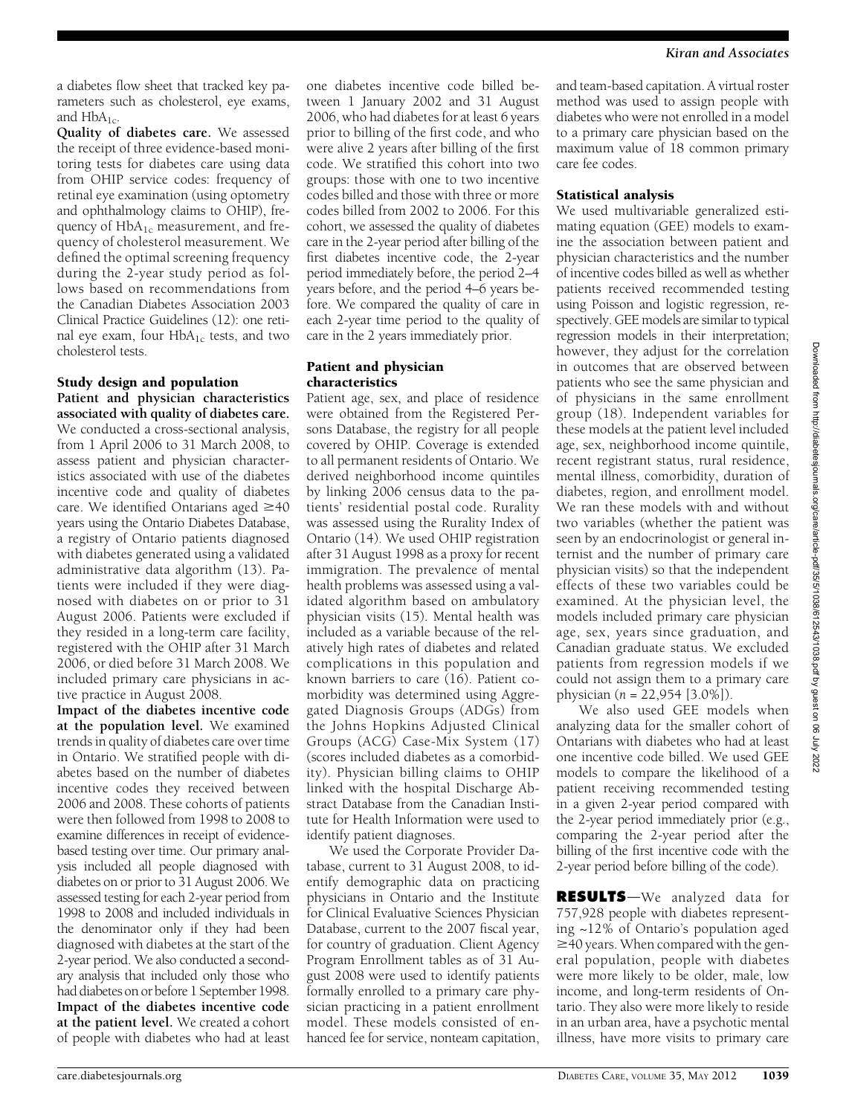a diabetes flow sheet that tracked key parameters such as cholesterol, eye exams, and  $HbA_{1c}$ .

Quality of diabetes care. We assessed the receipt of three evidence-based monitoring tests for diabetes care using data from OHIP service codes: frequency of retinal eye examination (using optometry and ophthalmology claims to OHIP), frequency of  $HbA_{1c}$  measurement, and frequency of cholesterol measurement. We defined the optimal screening frequency during the 2-year study period as follows based on recommendations from the Canadian Diabetes Association 2003 Clinical Practice Guidelines (12): one retinal eye exam, four  $HbA_{1c}$  tests, and two cholesterol tests.

# Study design and population

Patient and physician characteristics associated with quality of diabetes care. We conducted a cross-sectional analysis, from 1 April 2006 to 31 March 2008, to assess patient and physician characteristics associated with use of the diabetes incentive code and quality of diabetes care. We identified Ontarians aged  $\geq 40$ years using the Ontario Diabetes Database, a registry of Ontario patients diagnosed with diabetes generated using a validated administrative data algorithm (13). Patients were included if they were diagnosed with diabetes on or prior to 31 August 2006. Patients were excluded if they resided in a long-term care facility, registered with the OHIP after 31 March 2006, or died before 31 March 2008. We included primary care physicians in active practice in August 2008.

Impact of the diabetes incentive code at the population level. We examined trends in quality of diabetes care over time in Ontario. We stratified people with diabetes based on the number of diabetes incentive codes they received between 2006 and 2008. These cohorts of patients were then followed from 1998 to 2008 to examine differences in receipt of evidencebased testing over time. Our primary analysis included all people diagnosed with diabetes on or prior to 31 August 2006. We assessed testing for each 2-year period from 1998 to 2008 and included individuals in the denominator only if they had been diagnosed with diabetes at the start of the 2-year period. We also conducted a secondary analysis that included only those who had diabetes on or before 1 September 1998. Impact of the diabetes incentive code at the patient level. We created a cohort of people with diabetes who had at least

one diabetes incentive code billed between 1 January 2002 and 31 August 2006, who had diabetes for at least 6 years prior to billing of the first code, and who were alive 2 years after billing of the first code. We stratified this cohort into two groups: those with one to two incentive codes billed and those with three or more codes billed from 2002 to 2006. For this cohort, we assessed the quality of diabetes care in the 2-year period after billing of the first diabetes incentive code, the 2-year period immediately before, the period 2–4 years before, and the period 4–6 years before. We compared the quality of care in each 2-year time period to the quality of care in the 2 years immediately prior.

#### Patient and physician characteristics

Patient age, sex, and place of residence were obtained from the Registered Persons Database, the registry for all people covered by OHIP. Coverage is extended to all permanent residents of Ontario. We derived neighborhood income quintiles by linking 2006 census data to the patients' residential postal code. Rurality was assessed using the Rurality Index of Ontario (14). We used OHIP registration after 31 August 1998 as a proxy for recent immigration. The prevalence of mental health problems was assessed using a validated algorithm based on ambulatory physician visits (15). Mental health was included as a variable because of the relatively high rates of diabetes and related complications in this population and known barriers to care (16). Patient comorbidity was determined using Aggregated Diagnosis Groups (ADGs) from the Johns Hopkins Adjusted Clinical Groups (ACG) Case-Mix System (17) (scores included diabetes as a comorbidity). Physician billing claims to OHIP linked with the hospital Discharge Abstract Database from the Canadian Institute for Health Information were used to identify patient diagnoses.

We used the Corporate Provider Database, current to 31 August 2008, to identify demographic data on practicing physicians in Ontario and the Institute for Clinical Evaluative Sciences Physician Database, current to the 2007 fiscal year, for country of graduation. Client Agency Program Enrollment tables as of 31 August 2008 were used to identify patients formally enrolled to a primary care physician practicing in a patient enrollment model. These models consisted of enhanced fee for service, nonteam capitation, and team-based capitation. A virtual roster method was used to assign people with diabetes who were not enrolled in a model to a primary care physician based on the maximum value of 18 common primary care fee codes.

## Statistical analysis

We used multivariable generalized estimating equation (GEE) models to examine the association between patient and physician characteristics and the number of incentive codes billed as well as whether patients received recommended testing using Poisson and logistic regression, respectively. GEE models are similar to typical regression models in their interpretation; however, they adjust for the correlation in outcomes that are observed between patients who see the same physician and of physicians in the same enrollment group (18). Independent variables for these models at the patient level included age, sex, neighborhood income quintile, recent registrant status, rural residence, mental illness, comorbidity, duration of diabetes, region, and enrollment model. We ran these models with and without two variables (whether the patient was seen by an endocrinologist or general internist and the number of primary care physician visits) so that the independent effects of these two variables could be examined. At the physician level, the models included primary care physician age, sex, years since graduation, and Canadian graduate status. We excluded patients from regression models if we could not assign them to a primary care physician ( $n = 22,954$  [3.0%]).

We also used GEE models when analyzing data for the smaller cohort of Ontarians with diabetes who had at least one incentive code billed. We used GEE models to compare the likelihood of a patient receiving recommended testing in a given 2-year period compared with the 2-year period immediately prior (e.g., comparing the 2-year period after the billing of the first incentive code with the 2-year period before billing of the code).

**RESULTS**—We analyzed data for 757,928 people with diabetes representing ~12% of Ontario's population aged  $\geq$ 40 years. When compared with the general population, people with diabetes were more likely to be older, male, low income, and long-term residents of Ontario. They also were more likely to reside in an urban area, have a psychotic mental illness, have more visits to primary care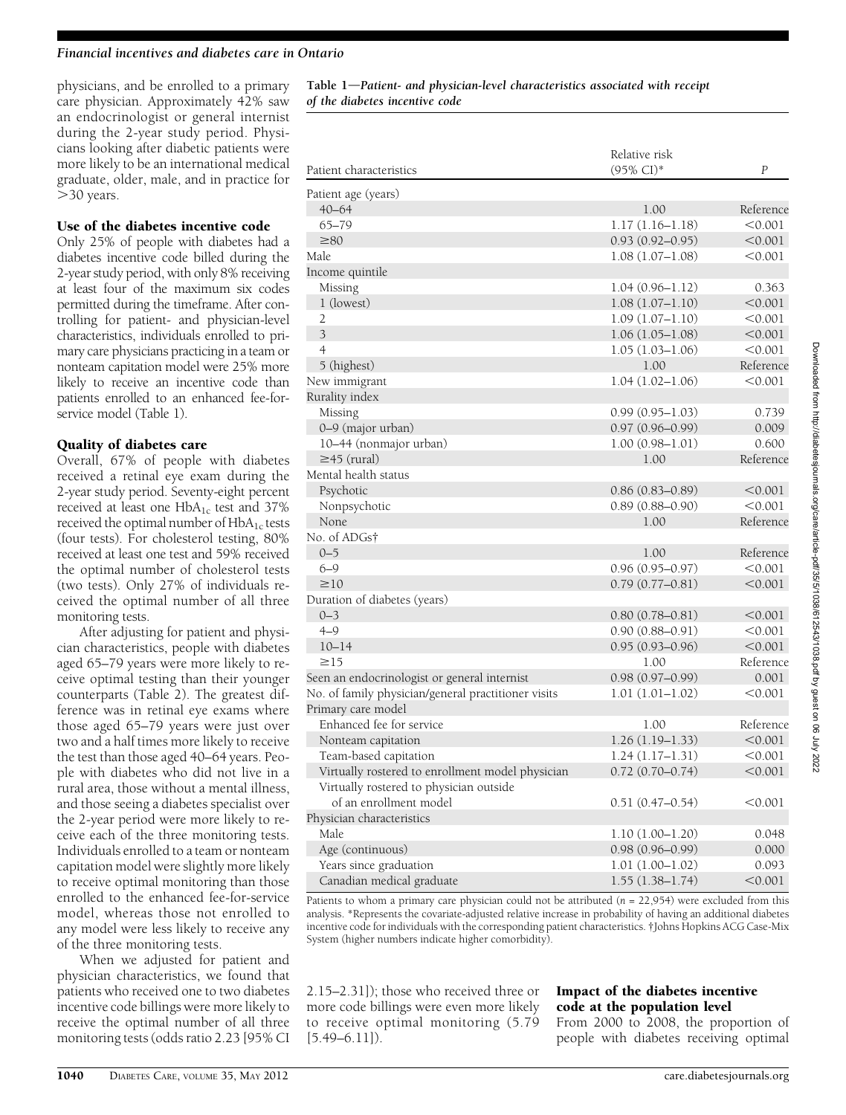#### Financial incentives and diabetes care in Ontario

physicians, and be enrolled to a primary care physician. Approximately 42% saw an endocrinologist or general internist during the 2-year study period. Physicians looking after diabetic patients were more likely to be an international medical graduate, older, male, and in practice for  $>$ 30 years.

#### Use of the diabetes incentive code

Only 25% of people with diabetes had a diabetes incentive code billed during the 2-year study period, with only 8% receiving at least four of the maximum six codes permitted during the timeframe. After controlling for patient- and physician-level characteristics, individuals enrolled to primary care physicians practicing in a team or nonteam capitation model were 25% more likely to receive an incentive code than patients enrolled to an enhanced fee-forservice model (Table 1).

## Quality of diabetes care

Overall, 67% of people with diabetes received a retinal eye exam during the 2-year study period. Seventy-eight percent received at least one  $HbA_{1c}$  test and 37% received the optimal number of  $HbA_{1c}$  tests (four tests). For cholesterol testing, 80% received at least one test and 59% received the optimal number of cholesterol tests (two tests). Only 27% of individuals received the optimal number of all three monitoring tests.

After adjusting for patient and physician characteristics, people with diabetes aged 65–79 years were more likely to receive optimal testing than their younger counterparts (Table 2). The greatest difference was in retinal eye exams where those aged 65–79 years were just over two and a half times more likely to receive the test than those aged 40–64 years. People with diabetes who did not live in a rural area, those without a mental illness, and those seeing a diabetes specialist over the 2-year period were more likely to receive each of the three monitoring tests. Individuals enrolled to a team or nonteam capitation model were slightly more likely to receive optimal monitoring than those enrolled to the enhanced fee-for-service model, whereas those not enrolled to any model were less likely to receive any of the three monitoring tests.

When we adjusted for patient and physician characteristics, we found that patients who received one to two diabetes incentive code billings were more likely to receive the optimal number of all three monitoring tests (odds ratio 2.23 [95% CI

Table  $1$ -Patient- and physician-level characteristics associated with receipt of the diabetes incentive code

| Patient characteristics                             | Relative risk<br>$(95\% \text{ CI})^*$ | P         |
|-----------------------------------------------------|----------------------------------------|-----------|
| Patient age (years)                                 |                                        |           |
| $40 - 64$                                           | 1.00                                   | Reference |
| 65–79                                               | $1.17(1.16-1.18)$                      | < 0.001   |
| $\geq 80$                                           | $0.93(0.92 - 0.95)$                    | < 0.001   |
| Male                                                | $1.08(1.07-1.08)$                      | < 0.001   |
| Income quintile                                     |                                        |           |
| Missing                                             | $1.04(0.96 - 1.12)$                    | 0.363     |
| 1 (lowest)                                          | $1.08(1.07-1.10)$                      | < 0.001   |
| 2                                                   | $1.09(1.07 - 1.10)$                    | < 0.001   |
| 3                                                   | $1.06(1.05-1.08)$                      | < 0.001   |
| $\overline{4}$                                      | $1.05(1.03 - 1.06)$                    | < 0.001   |
| 5 (highest)                                         | 1.00                                   | Reference |
| New immigrant                                       | $1.04(1.02 - 1.06)$                    | < 0.001   |
| Rurality index                                      |                                        |           |
| Missing                                             | $0.99(0.95 - 1.03)$                    | 0.739     |
| 0-9 (major urban)                                   | $0.97(0.96 - 0.99)$                    | 0.009     |
| 10-44 (nonmajor urban)                              | $1.00(0.98 - 1.01)$                    | 0.600     |
| $\geq$ 45 (rural)                                   | 1.00                                   | Reference |
| Mental health status                                |                                        |           |
| Psychotic                                           | $0.86(0.83 - 0.89)$                    | < 0.001   |
| Nonpsychotic                                        | $0.89(0.88 - 0.90)$                    | < 0.001   |
| None                                                | 1.00                                   | Reference |
| No. of ADGs†                                        |                                        |           |
| $0 - 5$                                             | 1.00                                   | Reference |
| $6 - 9$                                             | $0.96(0.95 - 0.97)$                    | < 0.001   |
| $\geq 10$                                           | $0.79(0.77 - 0.81)$                    | < 0.001   |
| Duration of diabetes (years)                        |                                        |           |
| $0 - 3$                                             | $0.80(0.78 - 0.81)$                    | < 0.001   |
| $4 - 9$                                             | $0.90(0.88 - 0.91)$                    | < 0.001   |
| $10 - 14$                                           | $0.95(0.93 - 0.96)$                    | < 0.001   |
| $\geq$ 15                                           | 1.00                                   | Reference |
| Seen an endocrinologist or general internist        | $0.98(0.97-0.99)$                      | 0.001     |
| No. of family physician/general practitioner visits | $1.01(1.01-1.02)$                      | < 0.001   |
| Primary care model                                  |                                        |           |
| Enhanced fee for service                            | 1.00                                   | Reference |
| Nonteam capitation                                  | $1.26(1.19 - 1.33)$                    | < 0.001   |
| Team-based capitation                               | $1.24(1.17-1.31)$                      | < 0.001   |
| Virtually rostered to enrollment model physician    | $0.72(0.70 - 0.74)$                    | < 0.001   |
| Virtually rostered to physician outside             |                                        |           |
| of an enrollment model                              | $0.51(0.47 - 0.54)$                    | < 0.001   |
| Physician characteristics                           |                                        |           |
| Male                                                | $1.10(1.00 - 1.20)$                    | 0.048     |
| Age (continuous)                                    | $0.98(0.96 - 0.99)$                    | 0.000     |
| Years since graduation                              | $1.01(1.00-1.02)$                      | 0.093     |
| Canadian medical graduate                           | $1.55(1.38 - 1.74)$                    | < 0.001   |
|                                                     |                                        |           |

Patients to whom a primary care physician could not be attributed  $(n = 22,954)$  were excluded from this analysis. \*Represents the covariate-adjusted relative increase in probability of having an additional diabetes incentive code for individuals with the corresponding patient characteristics. †Johns Hopkins ACG Case-Mix System (higher numbers indicate higher comorbidity).

2.15–2.31]); those who received three or more code billings were even more likely to receive optimal monitoring (5.79  $[5.49-6.11]$ .

## Impact of the diabetes incentive code at the population level

From 2000 to 2008, the proportion of people with diabetes receiving optimal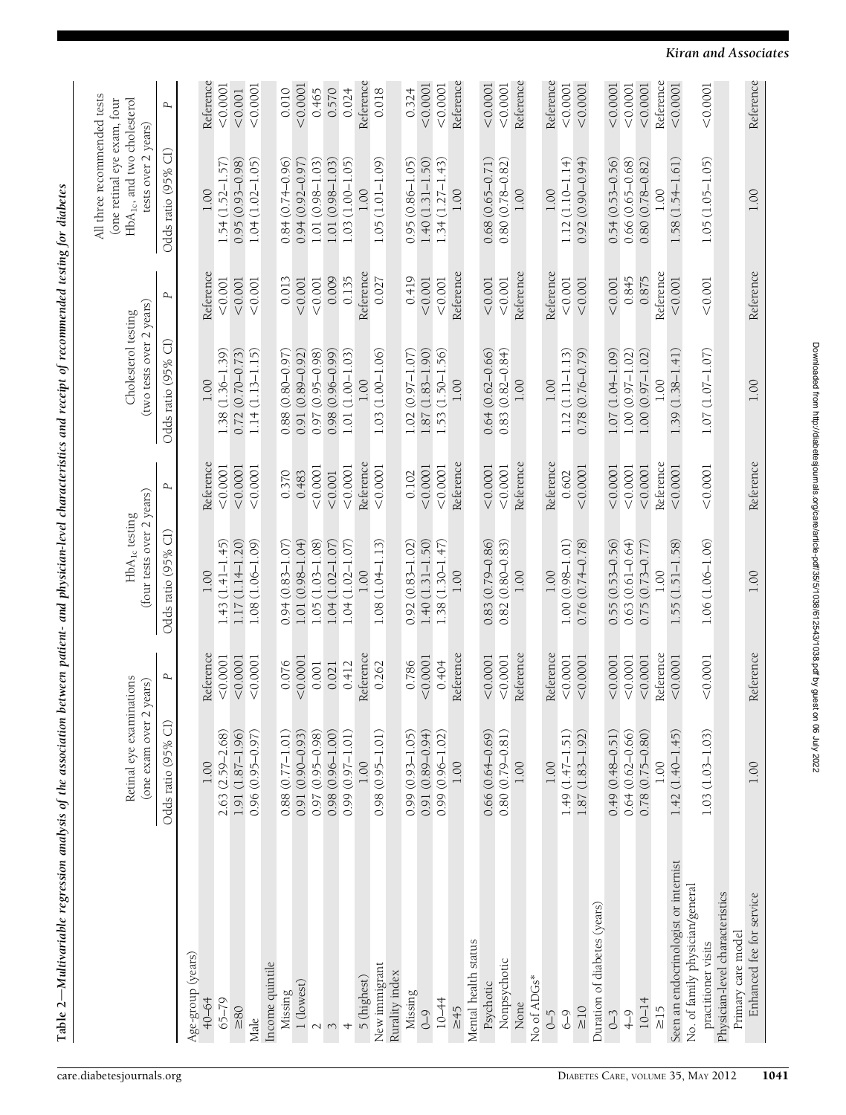|                                                        | Retinal eye examinations<br>(one exam over | 2 years)  | (four tests over 2 years)<br>HbA <sub>1c</sub> testing |           | (two tests over 2 years)<br>Cholesterol testing |              | All three recommended tests<br>(one retinal eye exam, four<br>HbA <sub>1c</sub> , and two cholesterol<br>tests over 2 years) |              |
|--------------------------------------------------------|--------------------------------------------|-----------|--------------------------------------------------------|-----------|-------------------------------------------------|--------------|------------------------------------------------------------------------------------------------------------------------------|--------------|
|                                                        | G)<br>Odds ratio (95%                      |           | J<br>Odds ratio (95%                                   |           | $\overline{C}$<br>Odds ratio (95%               |              | €<br>Odds ratio (95%                                                                                                         | $\mathbf{r}$ |
| Age-group (years)                                      |                                            |           |                                                        |           |                                                 |              |                                                                                                                              |              |
| 40-64                                                  | $1.00\,$                                   | Reference | 1.00                                                   | Reference | 1.00                                            | Reference    | $1.00\,$                                                                                                                     | Reference    |
| $65 - 79$                                              | 2.63 (2.59-2.68)                           | 0.0001    | $1.43(1.41 - 1.45)$                                    | < 0.0001  | 1.38 (1.36-1.39)                                | $<$ 0.001    | $1.54(1.52 - 1.57)$                                                                                                          | 0.0001       |
| $\geq 80$                                              | 1.91 (1.87-1.96)                           | < 0.0001  | $1.17(1.14 - 1.20)$                                    | < 0.0001  | $0.72(0.70 - 0.73)$                             | < 0.001      | $0.95(0.93 - 0.98)$                                                                                                          | 0.001        |
| Male                                                   | $0.96(0.95 - 0.97)$                        | 0.0001    | $1.08(1.06 - 1.09)$                                    | < 0.0001  | $1.14(1.13 - 1.15)$                             | $<\!\!0.001$ | $1.04(1.02 - 1.05)$                                                                                                          | < 0.0001     |
| Income quintile                                        |                                            |           |                                                        |           |                                                 |              |                                                                                                                              |              |
| Missing                                                | $0.88(0.77 - 1.01)$                        | 0.076     | $0.94(0.83 - 1.07)$                                    | 0.370     | $0.88(0.80 - 0.97)$                             | 0.013        | $0.84(0.74-0.96)$                                                                                                            | 0.010        |
| 1 (lowest)                                             | $0.91(0.90 - 0.93)$                        | < 0.0001  | $1.01(0.98 - 1.04)$                                    | 0.483     | $0.91(0.89 - 0.92)$                             | < 0.001      | $0.94(0.92 - 0.97)$                                                                                                          | < 0.0001     |
| $\sim$                                                 | 0.97 (0.95-0.98)                           | 0.001     | $1.05(1.03 - 1.08)$                                    | < 0.0001  | $0.97(0.95 - 0.98)$                             | < 0.001      | $1.01(0.98 - 1.03)$                                                                                                          | 0.465        |
| $\sim$                                                 | $0.98(0.96 - 1.00)$                        | 0.021     | 1.04 (1.02-1.07)                                       | < 0.001   | $0.98(0.96 - 0.99)$                             | 0.009        | 1.01 (0.98-1.03)                                                                                                             | 0.570        |
| 4                                                      | $0.99(0.97 - 1.01)$                        | 0.412     | $1.04(1.02 - 1.07)$                                    | 0.0001    | $1.01(1.00 - 1.03)$                             | 0.135        | $1.03(1.00 - 1.05)$                                                                                                          | 0.024        |
| 5 (highest)                                            | 1.00                                       | Reference | 1.00                                                   | Reference | $1.00\,$                                        | Reference    | 1.00                                                                                                                         | Reference    |
| New immigrant                                          | $0.98(0.95 - 1.01)$                        | 0.262     | $1.08(1.04 - 1.13)$                                    | < 0.0001  | $1.03(1.00 - 1.06)$                             | 0.027        | $1.05(1.01 - 1.09)$                                                                                                          | 0.018        |
| Rurality index                                         |                                            |           |                                                        |           |                                                 |              |                                                                                                                              |              |
| Missing                                                | $0.99(0.93 - 1.05)$                        | 0.786     | $0.92(0.83 - 1.02)$                                    | 0.102     | $1.02(0.97 - 1.07)$                             | 0.419        | $0.95(0.86 - 1.05)$                                                                                                          | 0.324        |
| $0 - 9$                                                | $0.91(0.89 - 0.94)$                        | < 0.0001  | $1.40(1.31 - 1.50)$                                    | < 0.0001  | 1.87 (1.83-1.90)                                | < 0.001      | $1.40(1.31 - 1.50)$                                                                                                          | < 0.0001     |
| 10-44                                                  | $0.99(0.96 - 1.02)$                        | 0.404     | $1.38(1.30 - 1.47)$                                    | 0.0001    | 1.53 (1.50-1.56)                                | < 0.001      | $1.34(1.27-1.43)$                                                                                                            | < 0.0001     |
| $\geq$ 45                                              | $1.00\,$                                   | Reference | 1.00                                                   | Reference | 1.00                                            | Reference    | 1.00                                                                                                                         | Reference    |
| Mental health status                                   |                                            |           |                                                        |           |                                                 |              |                                                                                                                              |              |
| Psychotic                                              | $0.66(0.64 - 0.69)$                        | < 0.0001  | $0.83(0.79 - 0.86)$                                    | < 0.0001  | $0.64(0.62 - 0.66)$                             | < 0.001      | $0.68(0.65 - 0.71)$                                                                                                          | 0.0001       |
| Nonpsychotic                                           | $0.80(0.79 - 0.81)$                        | 0.0001    | $0.82(0.80 - 0.83)$                                    | 0.0001    | $0.83(0.82 - 0.84)$                             | < 0.001      | $0.80(0.78 - 0.82)$                                                                                                          | < 0.0001     |
| None                                                   | $1.00\,$                                   | Reference | 1.00                                                   | Reference | $1.00$                                          | Reference    | 1.00                                                                                                                         | Reference    |
| No of ADGs*                                            |                                            |           |                                                        |           |                                                 |              |                                                                                                                              |              |
| $\zeta$ -5                                             | $1.00\,$                                   | Reference | $1.00\,$                                               | Reference | 1.00                                            | Reference    | $1.00\,$                                                                                                                     | Reference    |
| $6 - 9$                                                | $1.49(1.47 - 1.51)$                        | 0.0001    | 1.00 (0.98-1.01)                                       | 0.602     | $1.12(1.11 - 1.13)$                             | < 0.001      | $1.12(1.10-1.14)$                                                                                                            | < 0.0001     |
| $\geq 10$                                              | $1.87(1.83 - 1.92)$                        | < 0.0001  | $0.76(0.74 - 0.78)$                                    | 0.0001    | $0.78(0.76 - 0.79)$                             | < 0.001      | $0.92(0.90 - 0.94)$                                                                                                          | < 0.0001     |
| Duration of diabetes (years)                           |                                            |           |                                                        |           |                                                 |              |                                                                                                                              |              |
| $0 - 3$                                                | $0.49(0.48 - 0.51)$                        | 0.0001    | $0.55(0.53 - 0.56)$                                    | < 0.0001  | $1.07(1.04 - 1.09)$                             | < 0.001      | $0.54(0.53 - 0.56)$                                                                                                          | 0.0001       |
| $-9$                                                   | $0.64(0.62 - 0.66)$                        | < 0.0001  | $0.63(0.61 - 0.64)$                                    | < 0.0001  | $1.00(0.97 - 1.02)$                             | 0.845        | $0.66(0.65 - 0.68)$                                                                                                          | < 0.0001     |
| $10 - 14$                                              | $0.78(0.75 - 0.80)$                        | < 0.0001  | $0.75(0.73 - 0.77)$                                    | < 0.0001  | $1.00(0.97 - 1.02)$                             | 0.875        | $0.80(0.78 - 0.82)$                                                                                                          | < 0.0001     |
| $\geq$ 15                                              | 1.00                                       | Reference | 1.00                                                   | Reference | 1.00                                            | Reference    | 1.00                                                                                                                         | Reference    |
| Seen an endocrinologist or internist                   | $1.42(1.40 - 1.45)$                        | < 0.0001  | $1.55(1.51 - 1.58)$                                    | < 0.0001  | $1.39(1.38 - 1.41)$                             | < 0.001      | $1.58(1.54 - 1.61)$                                                                                                          | < 0.0001     |
| No. of family physician/general<br>practitioner visits | $1.03(1.03 - 1.03)$                        | < 0.0001  | $1.06(1.06 - 1.06)$                                    | < 0.0001  | $1.07(1.07 - 1.07)$                             | < 0.001      | $1.05(1.05 - 1.05)$                                                                                                          | < 0.0001     |
| Physician-level characteristics                        |                                            |           |                                                        |           |                                                 |              |                                                                                                                              |              |
| Primary care model                                     |                                            |           |                                                        |           |                                                 |              |                                                                                                                              |              |
| Enhanced fee for service                               | $1.00\,$                                   | Reference | 1.00                                                   | Reference | 1.00                                            | Reference    | 1.00                                                                                                                         | Reference    |
|                                                        |                                            |           |                                                        |           |                                                 |              |                                                                                                                              |              |

Table 2—Multivariable regression analysis of the association between patient- and physician-level characteristics and receipt of recommended testing for diabetes  $-$ Multivariable regression analysis of the association between patient- and physician-level characteristics and receipt of recommended testing for diabetes

Downloaded from http://diabetesjournals.org/care/article-pdf/35/5/1038/612543/1038.pdf by guest on 06 July 2022 Downloaded from http://diabetesjournals.org/care/article-pdf/35/5/1038/612543/1038.pdf by guest on 06 July 2022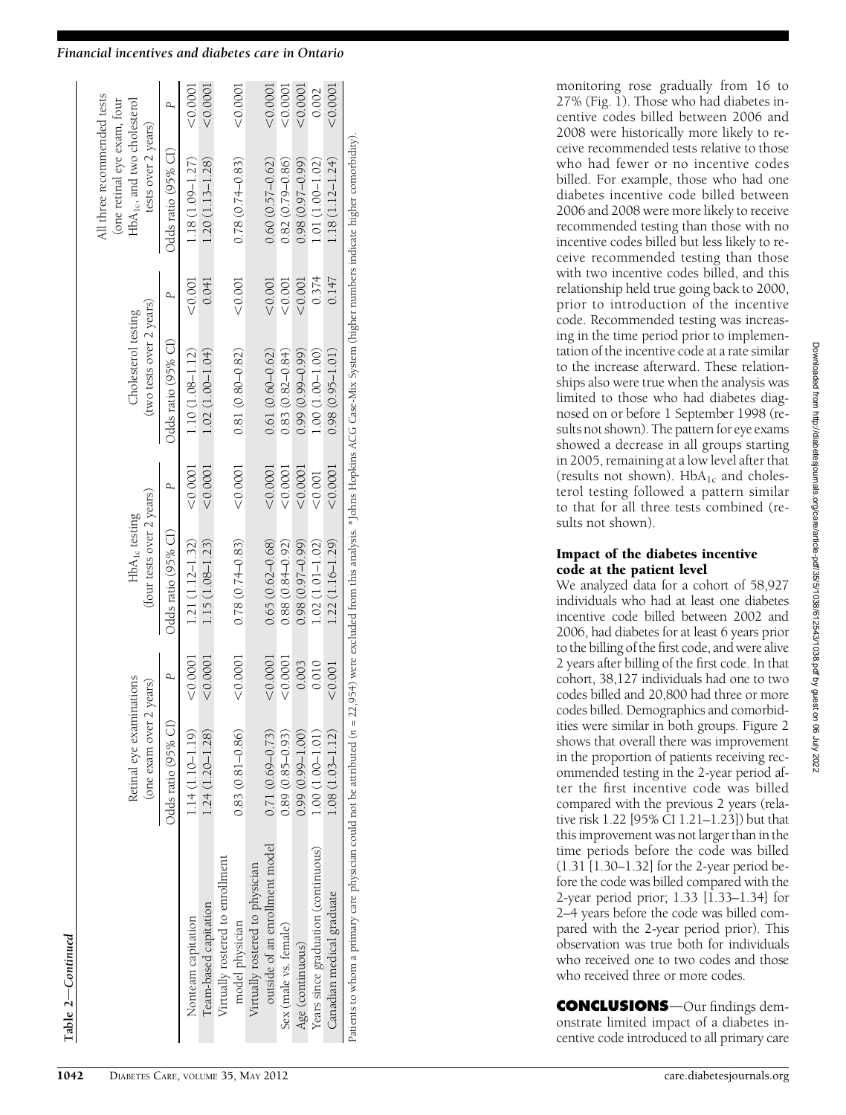# Financial incentives and diabetes care in Ontario

|                                     | Retinal eye examinations<br>(one exam over 2 years) |          | (four tests over 2 years)<br>HbA <sub>1</sub> , testing |              | (two tests over 2 years)<br>Cholesterol testing |         | All three recommended tests<br>(one retinal eye exam, four<br>HbA <sub>1c</sub> , and two cholesterol<br>tests over 2 years) |          |
|-------------------------------------|-----------------------------------------------------|----------|---------------------------------------------------------|--------------|-------------------------------------------------|---------|------------------------------------------------------------------------------------------------------------------------------|----------|
|                                     | Odds ratio (95% CI)                                 |          | Odds ratio (95% CI)                                     | $\mathsf{p}$ | Odds ratio (95% CI)                             |         | Odds ratio (95% CI)                                                                                                          | $\Delta$ |
| Nonteam capitation                  | $1.14(1.10-1.19)$                                   | < 0.0001 | $1.21(1.12 - 1.32)$                                     | < 0.0001     | $1.10(1.08 - 1.12)$                             | < 0.001 | $1.18(1.09 - 1.27)$                                                                                                          | < 0.0001 |
| Team-based capitation               | $1.24(1.20 - 1.28)$                                 | < 0.0001 | $1.15(1.08 - 1.23)$                                     | < 0.0001     | $1.02(1.00 - 1.04)$                             | 0.041   | $1.20(1.13 - 1.28)$                                                                                                          | < 0.0001 |
| Virtually rostered to enrollment    |                                                     |          |                                                         |              |                                                 |         |                                                                                                                              |          |
| model physician                     | $0.83(0.81 - 0.86)$                                 | < 0.0001 | $0.78(0.74 - 0.83)$                                     | < 0.0001     | $0.81(0.80 - 0.82)$                             | < 0.001 | $0.78(0.74 - 0.83)$                                                                                                          | < 0.0001 |
| Virtually rostered to physician     |                                                     |          |                                                         |              |                                                 |         |                                                                                                                              |          |
| outside of an enrollment model      | $0.71(0.69 - 0.73)$                                 | < 0.0001 | $0.65(0.62 - 0.68)$                                     | < 0.0001     | $0.61(0.60 - 0.62)$                             | < 0.001 | $0.60(0.57 - 0.62)$                                                                                                          | < 0.0001 |
| Sex (male vs. female)               | $0.89(0.85 - 0.93)$                                 | 0.0001   | $0.88(0.84 - 0.92)$                                     | 0.0001       | $0.83(0.82 - 0.84)$                             | < 0.001 | $0.82(0.79 - 0.86)$                                                                                                          | 0.0001   |
| Age (continuous)                    | $0.99(0.90-1.00)$                                   | 0.003    | $(66.0 - 26.0)$ 86.0                                    | 0.0001       | $(66.0 - 66.0)$ 66.0                            | 0.001   | $(66.0 - 26.0)$ 860                                                                                                          | < 0.0001 |
| Years since graduation (continuous) | $1.00(1.00 - 1.01)$                                 | 0.010    | $1.02(1.01 - 1.02)$                                     | < 0.001      | $1.00(1.00 - 1.00)$                             | 0.374   | $1.01(1.00 - 1.02)$                                                                                                          | 0.002    |
| Canadian medical graduate           | $1.08(1.03 - 1.12)$                                 | < 0.001  | $1.22(1.16 - 1.29)$                                     | < 0.0001     | $0.98(0.95 - 1.01)$                             | 0.147   | $1.18(1.12 - 1.24)$                                                                                                          | < 0.0001 |

Patients to whom a primary care physician could not be attributed (n = 22,954) were excluded from this analysis. \*Johns Hopkins ACG Case-Mix System (higher numbers indicate higher comorbidity).

Patients to whom a primary care physician could not be attributed (n = 22,954) were excluded from this analysis. \*Johns Hopkins ACG Case-Mix System (higher numbers indicate higher comorbidity)

monitoring rose gradually from 16 to 27% (Fig. 1). Those who had diabetes incentive codes billed between 2006 and 2008 were historically more likely to receive recommended tests relative to those who had fewer or no incentive codes billed. For example, those who had one diabetes incentive code billed between 2006 and 2008 were more likely to receive recommended testing than those with no incentive codes billed but less likely to receive recommended testing than those with two incentive codes billed, and this relationship held true going back to 2000, prior to introduction of the incentive code. Recommended testing was increasing in the time period prior to implementation of the incentive code at a rate similar to the increase afterward. These relationships also were true when the analysis was limited to those who had diabetes diagnosed on or before 1 September 1998 (results not shown). The pattern for eye exams showed a decrease in all groups starting in 2005, remaining at a low level after that (results not shown).  $HbA_{1c}$  and cholesterol testing followed a pattern similar to that for all three tests combined (results not shown).

#### Impact of the diabetes incentive code at the patient level

We analyzed data for a cohort of 58,927 individuals who had at least one diabetes incentive code billed between 2002 and 2006, had diabetes for at least 6 years prior to the billing of the first code, and were alive 2 years after billing of the first code. In that cohort, 38,127 individuals had one to two codes billed and 20,800 had three or more codes billed. Demographics and comorbidities were similar in both groups. Figure 2 shows that overall there was improvement in the proportion of patients receiving recommended testing in the 2-year period after the first incentive code was billed compared with the previous 2 years (relative risk 1.22 [95% CI 1.21–1.23]) but that this improvement was not larger than in the time periods before the code was billed (1.31 [1.30–1.32] for the 2-year period before the code was billed compared with the 2-year period prior; 1.33 [1.33–1.34] for 2–4 years before the code was billed compared with the 2-year period prior). This observation was true both for individuals who received one to two codes and those who received three or more codes.

CONCLUSIONS-Our findings demonstrate limited impact of a diabetes incentive code introduced to all primary care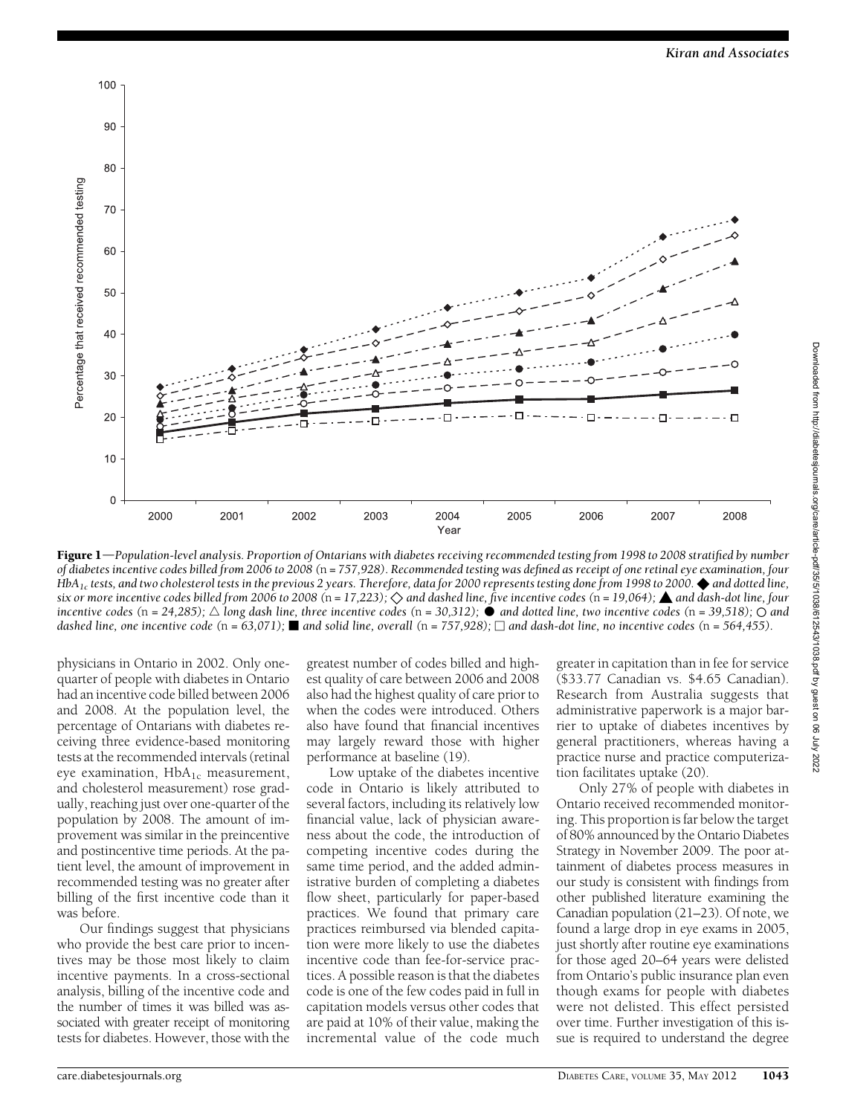

Figure 1—Population-level analysis. Proportion of Ontarians with diabetes receiving recommended testing from 1998 to 2008 stratified by number of diabetes incentive codes billed from 2006 to 2008 (n = 757,928). Recommended testing was defined as receipt of one retinal eye examination, four  $HbA<sub>1c</sub>$  tests, and two cholesterol tests in the previous 2 years. Therefore, data for 2000 represents testing done from 1998 to 2000.  $\bullet$  and dotted line, six or more incentive codes billed from 2006 to 2008 (n = 17,223);  $\Diamond$  and dashed line, five incentive codes (n = 19,064);  $\Diamond$  and dash-dot line, four incentive codes (n = 24,285);  $\triangle$  long dash line, three incentive codes (n = 30,312);  $\bullet$  and dotted line, two incentive codes (n = 39,518);  $\bigcirc$  and dashed line, one incentive code  $(n = 63,071)$ ; and solid line, overall  $(n = 757,928)$ ;  $\Box$  and dash-dot line, no incentive codes  $(n = 564,455)$ .

physicians in Ontario in 2002. Only onequarter of people with diabetes in Ontario had an incentive code billed between 2006 and 2008. At the population level, the percentage of Ontarians with diabetes receiving three evidence-based monitoring tests at the recommended intervals (retinal eye examination,  $HbA_{1c}$  measurement, and cholesterol measurement) rose gradually, reaching just over one-quarter of the population by 2008. The amount of improvement was similar in the preincentive and postincentive time periods. At the patient level, the amount of improvement in recommended testing was no greater after billing of the first incentive code than it was before.

Our findings suggest that physicians who provide the best care prior to incentives may be those most likely to claim incentive payments. In a cross-sectional analysis, billing of the incentive code and the number of times it was billed was associated with greater receipt of monitoring tests for diabetes. However, those with the

greatest number of codes billed and highest quality of care between 2006 and 2008 also had the highest quality of care prior to when the codes were introduced. Others also have found that financial incentives may largely reward those with higher performance at baseline (19).

Low uptake of the diabetes incentive code in Ontario is likely attributed to several factors, including its relatively low financial value, lack of physician awareness about the code, the introduction of competing incentive codes during the same time period, and the added administrative burden of completing a diabetes flow sheet, particularly for paper-based practices. We found that primary care practices reimbursed via blended capitation were more likely to use the diabetes incentive code than fee-for-service practices. A possible reason is that the diabetes code is one of the few codes paid in full in capitation models versus other codes that are paid at 10% of their value, making the incremental value of the code much

greater in capitation than in fee for service (\$33.77 Canadian vs. \$4.65 Canadian). Research from Australia suggests that administrative paperwork is a major barrier to uptake of diabetes incentives by general practitioners, whereas having a practice nurse and practice computerization facilitates uptake (20).

Only 27% of people with diabetes in Ontario received recommended monitoring. This proportion is far below the target of 80% announced by the Ontario Diabetes Strategy in November 2009. The poor attainment of diabetes process measures in our study is consistent with findings from other published literature examining the Canadian population (21–23). Of note, we found a large drop in eye exams in 2005, just shortly after routine eye examinations for those aged 20–64 years were delisted from Ontario's public insurance plan even though exams for people with diabetes were not delisted. This effect persisted over time. Further investigation of this issue is required to understand the degree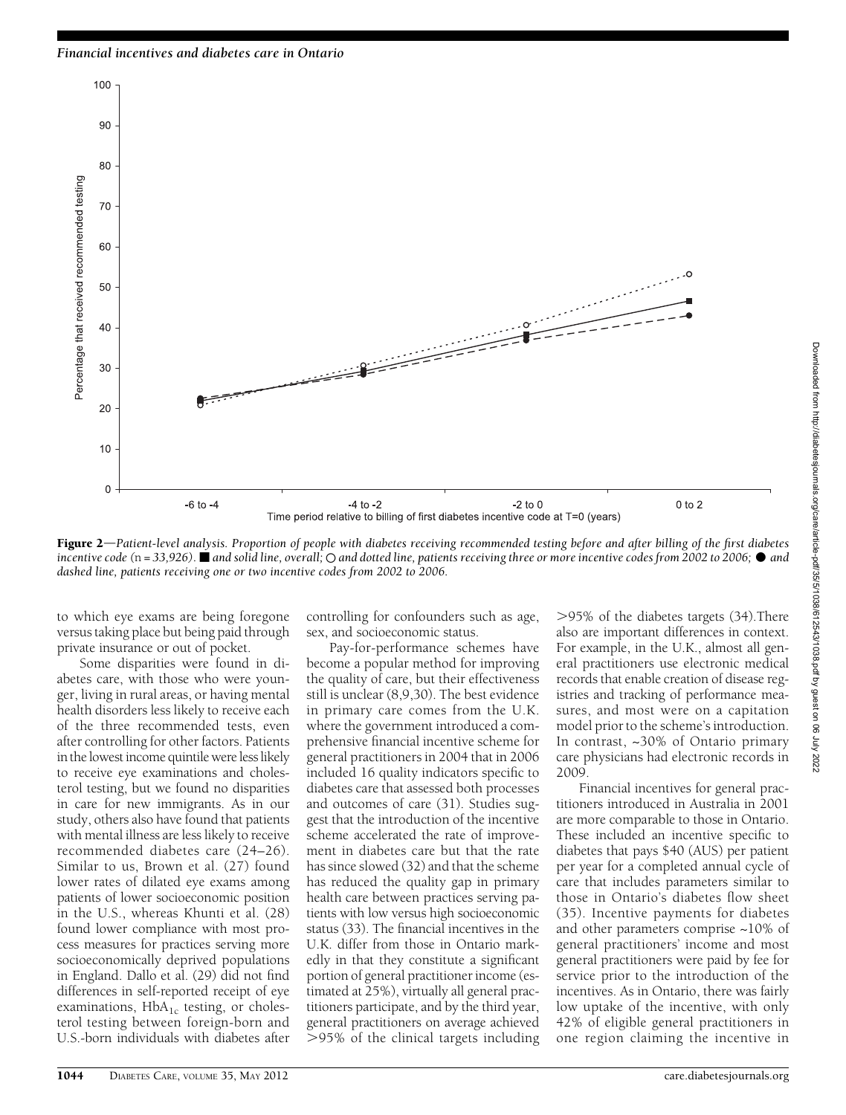Financial incentives and diabetes care in Ontario



Figure 2—Patient-level analysis. Proportion of people with diabetes receiving recommended testing before and after billing of the first diabetes incentive code (n = 33,926).  $\blacksquare$  and solid line, overall;  $\bigcirc$  and dotted line, patients receiving three or more incentive codes from 2002 to 2006;  $\blacklozenge$  and dashed line, patients receiving one or two incentive codes from 2002 to 2006.

to which eye exams are being foregone versus taking place but being paid through private insurance or out of pocket.

Some disparities were found in diabetes care, with those who were younger, living in rural areas, or having mental health disorders less likely to receive each of the three recommended tests, even after controlling for other factors. Patients in the lowest income quintile were less likely to receive eye examinations and cholesterol testing, but we found no disparities in care for new immigrants. As in our study, others also have found that patients with mental illness are less likely to receive recommended diabetes care (24–26). Similar to us, Brown et al. (27) found lower rates of dilated eye exams among patients of lower socioeconomic position in the U.S., whereas Khunti et al. (28) found lower compliance with most process measures for practices serving more socioeconomically deprived populations in England. Dallo et al. (29) did not find differences in self-reported receipt of eye examinations,  $HbA_{1c}$  testing, or cholesterol testing between foreign-born and U.S.-born individuals with diabetes after

controlling for confounders such as age, sex, and socioeconomic status.

Pay-for-performance schemes have become a popular method for improving the quality of care, but their effectiveness still is unclear (8,9,30). The best evidence in primary care comes from the U.K. where the government introduced a comprehensive financial incentive scheme for general practitioners in 2004 that in 2006 included 16 quality indicators specific to diabetes care that assessed both processes and outcomes of care (31). Studies suggest that the introduction of the incentive scheme accelerated the rate of improvement in diabetes care but that the rate has since slowed (32) and that the scheme has reduced the quality gap in primary health care between practices serving patients with low versus high socioeconomic status (33). The financial incentives in the U.K. differ from those in Ontario markedly in that they constitute a significant portion of general practitioner income (estimated at 25%), virtually all general practitioners participate, and by the third year, general practitioners on average achieved .95% of the clinical targets including

.95% of the diabetes targets (34).There also are important differences in context. For example, in the U.K., almost all general practitioners use electronic medical records that enable creation of disease registries and tracking of performance measures, and most were on a capitation model prior to the scheme's introduction. In contrast, ~30% of Ontario primary care physicians had electronic records in 2009.

Financial incentives for general practitioners introduced in Australia in 2001 are more comparable to those in Ontario. These included an incentive specific to diabetes that pays \$40 (AUS) per patient per year for a completed annual cycle of care that includes parameters similar to those in Ontario's diabetes flow sheet (35). Incentive payments for diabetes and other parameters comprise ~10% of general practitioners' income and most general practitioners were paid by fee for service prior to the introduction of the incentives. As in Ontario, there was fairly low uptake of the incentive, with only 42% of eligible general practitioners in one region claiming the incentive in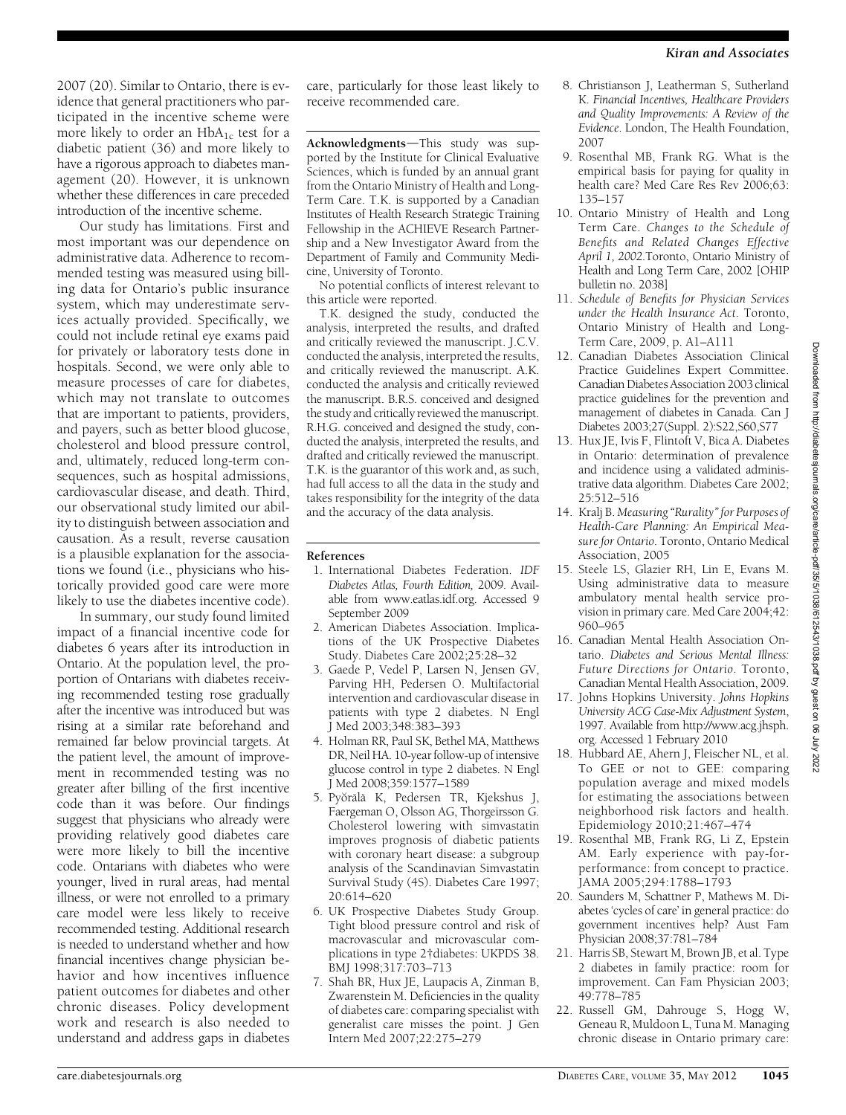2007 (20). Similar to Ontario, there is evidence that general practitioners who participated in the incentive scheme were more likely to order an  $HbA_{1c}$  test for a diabetic patient (36) and more likely to have a rigorous approach to diabetes management (20). However, it is unknown whether these differences in care preceded introduction of the incentive scheme.

Our study has limitations. First and most important was our dependence on administrative data. Adherence to recommended testing was measured using billing data for Ontario's public insurance system, which may underestimate services actually provided. Specifically, we could not include retinal eye exams paid for privately or laboratory tests done in hospitals. Second, we were only able to measure processes of care for diabetes, which may not translate to outcomes that are important to patients, providers, and payers, such as better blood glucose, cholesterol and blood pressure control, and, ultimately, reduced long-term consequences, such as hospital admissions, cardiovascular disease, and death. Third, our observational study limited our ability to distinguish between association and causation. As a result, reverse causation is a plausible explanation for the associations we found (i.e., physicians who historically provided good care were more likely to use the diabetes incentive code).

In summary, our study found limited impact of a financial incentive code for diabetes 6 years after its introduction in Ontario. At the population level, the proportion of Ontarians with diabetes receiving recommended testing rose gradually after the incentive was introduced but was rising at a similar rate beforehand and remained far below provincial targets. At the patient level, the amount of improvement in recommended testing was no greater after billing of the first incentive code than it was before. Our findings suggest that physicians who already were providing relatively good diabetes care were more likely to bill the incentive code. Ontarians with diabetes who were younger, lived in rural areas, had mental illness, or were not enrolled to a primary care model were less likely to receive recommended testing. Additional research is needed to understand whether and how financial incentives change physician behavior and how incentives influence patient outcomes for diabetes and other chronic diseases. Policy development work and research is also needed to understand and address gaps in diabetes

care, particularly for those least likely to receive recommended care.

Acknowledgments-This study was supported by the Institute for Clinical Evaluative Sciences, which is funded by an annual grant from the Ontario Ministry of Health and Long-Term Care. T.K. is supported by a Canadian Institutes of Health Research Strategic Training Fellowship in the ACHIEVE Research Partnership and a New Investigator Award from the Department of Family and Community Medicine, University of Toronto.

No potential conflicts of interest relevant to this article were reported.

T.K. designed the study, conducted the analysis, interpreted the results, and drafted and critically reviewed the manuscript. J.C.V. conducted the analysis, interpreted the results, and critically reviewed the manuscript. A.K. conducted the analysis and critically reviewed the manuscript. B.R.S. conceived and designed the study and critically reviewed the manuscript. R.H.G. conceived and designed the study, conducted the analysis, interpreted the results, and drafted and critically reviewed the manuscript. T.K. is the guarantor of this work and, as such, had full access to all the data in the study and takes responsibility for the integrity of the data and the accuracy of the data analysis.

## References

- 1. International Diabetes Federation. IDF Diabetes Atlas, Fourth Edition, 2009. Available from www.eatlas.idf.org. Accessed 9 September 2009
- 2. American Diabetes Association. Implications of the UK Prospective Diabetes Study. Diabetes Care 2002;25:28–32
- 3. Gaede P, Vedel P, Larsen N, Jensen GV, Parving HH, Pedersen O. Multifactorial intervention and cardiovascular disease in patients with type 2 diabetes. N Engl J Med 2003;348:383–393
- 4. Holman RR, Paul SK, Bethel MA, Matthews DR, Neil HA. 10-year follow-up of intensive glucose control in type 2 diabetes. N Engl J Med 2008;359:1577–1589
- 5. Pyorälä K, Pedersen TR, Kjekshus J, Faergeman O, Olsson AG, Thorgeirsson G. Cholesterol lowering with simvastatin improves prognosis of diabetic patients with coronary heart disease: a subgroup analysis of the Scandinavian Simvastatin Survival Study (4S). Diabetes Care 1997; 20:614–620
- 6. UK Prospective Diabetes Study Group. Tight blood pressure control and risk of macrovascular and microvascular complications in type 2†diabetes: UKPDS 38. BMJ 1998;317:703–713
- 7. Shah BR, Hux JE, Laupacis A, Zinman B, Zwarenstein M. Deficiencies in the quality of diabetes care: comparing specialist with generalist care misses the point. J Gen Intern Med 2007;22:275–279
- 8. Christianson J, Leatherman S, Sutherland K. Financial Incentives, Healthcare Providers and Quality Improvements: A Review of the Evidence. London, The Health Foundation, 2007
- 9. Rosenthal MB, Frank RG. What is the empirical basis for paying for quality in health care? Med Care Res Rev 2006;63: 135–157
- 10. Ontario Ministry of Health and Long Term Care. Changes to the Schedule of Benefits and Related Changes Effective April 1, 2002.Toronto, Ontario Ministry of Health and Long Term Care, 2002 [OHIP bulletin no. 2038]
- 11. Schedule of Benefits for Physician Services under the Health Insurance Act. Toronto, Ontario Ministry of Health and Long-Term Care, 2009, p. A1–A111
- 12. Canadian Diabetes Association Clinical Practice Guidelines Expert Committee. Canadian Diabetes Association 2003 clinical practice guidelines for the prevention and management of diabetes in Canada. Can J Diabetes 2003;27(Suppl. 2):S22,S60,S77
- 13. Hux JE, Ivis F, Flintoft V, Bica A. Diabetes in Ontario: determination of prevalence and incidence using a validated administrative data algorithm. Diabetes Care 2002; 25:512–516
- 14. Kralj B. Measuring "Rurality"for Purposes of Health-Care Planning: An Empirical Measure for Ontario. Toronto, Ontario Medical Association, 2005
- 15. Steele LS, Glazier RH, Lin E, Evans M. Using administrative data to measure ambulatory mental health service provision in primary care. Med Care 2004;42: 960–965
- 16. Canadian Mental Health Association Ontario. Diabetes and Serious Mental Illness: Future Directions for Ontario. Toronto, Canadian Mental Health Association, 2009.
- 17. Johns Hopkins University. Johns Hopkins University ACG Case-Mix Adjustment System, 1997. Available from [http://www.acg.jhsph.](http://www.acg.jhsph.org) [org](http://www.acg.jhsph.org). Accessed 1 February 2010
- 18. Hubbard AE, Ahern J, Fleischer NL, et al. To GEE or not to GEE: comparing population average and mixed models for estimating the associations between neighborhood risk factors and health. Epidemiology 2010;21:467–474
- 19. Rosenthal MB, Frank RG, Li Z, Epstein AM. Early experience with pay-forperformance: from concept to practice. JAMA 2005;294:1788–1793
- 20. Saunders M, Schattner P, Mathews M. Diabetes 'cycles of care' in general practice: do government incentives help? Aust Fam Physician 2008;37:781–784
- 21. Harris SB, Stewart M, Brown JB, et al. Type 2 diabetes in family practice: room for improvement. Can Fam Physician 2003; 49:778–785
- 22. Russell GM, Dahrouge S, Hogg W, Geneau R, Muldoon L, Tuna M. Managing chronic disease in Ontario primary care: